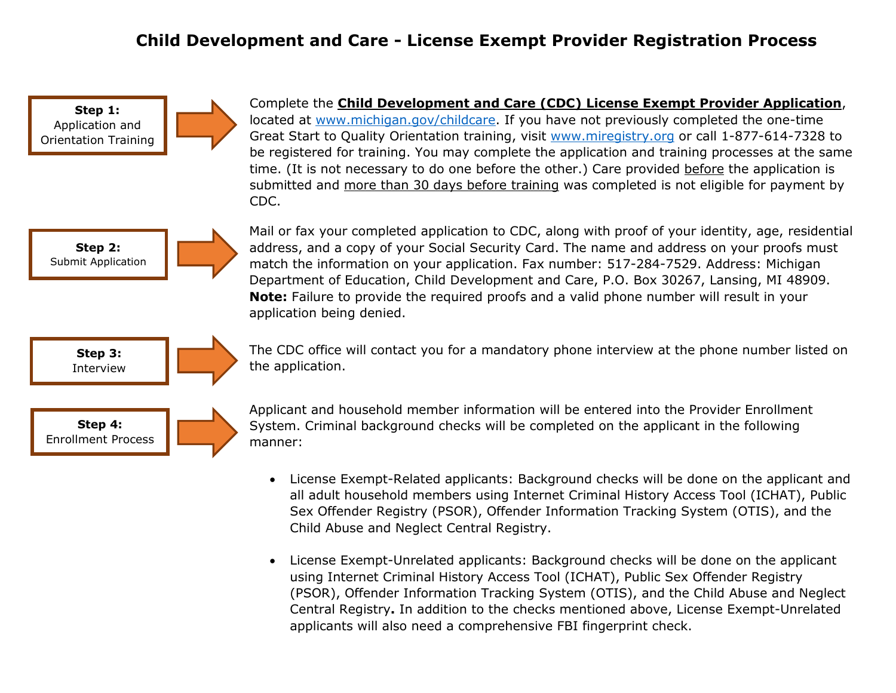## **Child Development and Care - License Exempt Provider Registration Process**

**Step 1:** Application and Orientation Training

Complete the **Child Development and Care (CDC) License Exempt Provider Application**, located at [www.michigan.gov/childcare.](http://www.michigan.gov/childcare) If you have not previously completed the one-time Great Start to Quality Orientation training, visit [www.miregistry.org](http://www.miregistry.org/) or call 1-877-614-7328 to be registered for training. You may complete the application and training processes at the same time. (It is not necessary to do one before the other.) Care provided before the application is submitted and more than 30 days before training was completed is not eligible for payment by CDC.



Mail or fax your completed application to CDC, along with proof of your identity, age, residential address, and a copy of your Social Security Card. The name and address on your proofs must match the information on your application. Fax number: 517-284-7529. Address: Michigan Department of Education, Child Development and Care, P.O. Box 30267, Lansing, MI 48909. **Note:** Failure to provide the required proofs and a valid phone number will result in your application being denied.

**Step 3:** Interview



The CDC office will contact you for a mandatory phone interview at the phone number listed on the application.

**Step 4:** Enrollment Process



Applicant and household member information will be entered into the Provider Enrollment System. Criminal background checks will be completed on the applicant in the following manner:

- License Exempt-Related applicants: Background checks will be done on the applicant and all adult household members using Internet Criminal History Access Tool (ICHAT), Public Sex Offender Registry (PSOR), Offender Information Tracking System (OTIS), and the Child Abuse and Neglect Central Registry.
- License Exempt-Unrelated applicants: Background checks will be done on the applicant using Internet Criminal History Access Tool (ICHAT), Public Sex Offender Registry (PSOR), Offender Information Tracking System (OTIS), and the Child Abuse and Neglect Central Registry**.** In addition to the checks mentioned above, License Exempt-Unrelated applicants will also need a comprehensive FBI fingerprint check.